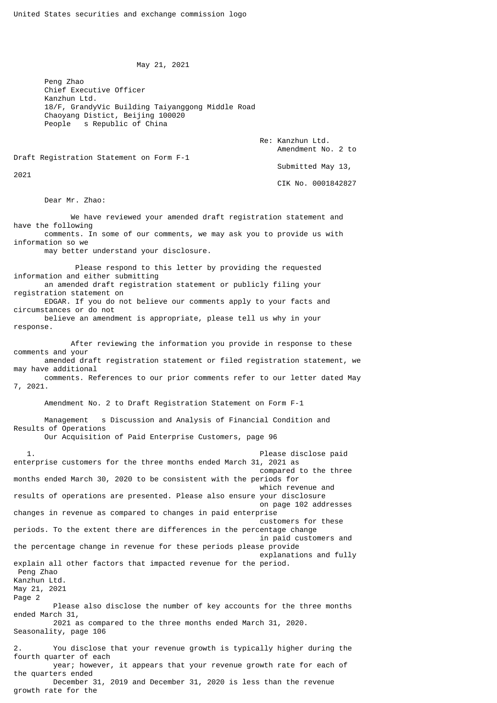May 21, 2021

 Peng Zhao Chief Executive Officer Kanzhun Ltd. 18/F, GrandyVic Building Taiyanggong Middle Road Chaoyang Distict, Beijing 100020 People s Republic of China

> Re: Kanzhun Ltd. Amendment No. 2 to

Draft Registration Statement on Form F-1

2021

 Submitted May 13, CIK No. 0001842827

Dear Mr. Zhao:

 We have reviewed your amended draft registration statement and have the following comments. In some of our comments, we may ask you to provide us with

information so we

may better understand your disclosure.

 Please respond to this letter by providing the requested information and either submitting an amended draft registration statement or publicly filing your registration statement on

 EDGAR. If you do not believe our comments apply to your facts and circumstances or do not believe an amendment is appropriate, please tell us why in your

response.

 After reviewing the information you provide in response to these comments and your amended draft registration statement or filed registration statement, we may have additional

 comments. References to our prior comments refer to our letter dated May 7, 2021.

Amendment No. 2 to Draft Registration Statement on Form F-1

 Management s Discussion and Analysis of Financial Condition and Results of Operations Our Acquisition of Paid Enterprise Customers, page 96

1. The contract of the contract of the contract of the paid  $\mathsf{Please}$  disclose paid enterprise customers for the three months ended March 31, 2021 as compared to the three months ended March 30, 2020 to be consistent with the periods for which revenue and results of operations are presented. Please also ensure your disclosure on page 102 addresses changes in revenue as compared to changes in paid enterprise customers for these periods. To the extent there are differences in the percentage change in paid customers and the percentage change in revenue for these periods please provide explanations and fully explain all other factors that impacted revenue for the period. Peng Zhao Kanzhun Ltd. May 21, 2021 Page 2 Please also disclose the number of key accounts for the three months ended March 31, 2021 as compared to the three months ended March 31, 2020. Seasonality, page 106 2. You disclose that your revenue growth is typically higher during the fourth quarter of each year; however, it appears that your revenue growth rate for each of the quarters ended December 31, 2019 and December 31, 2020 is less than the revenue growth rate for the